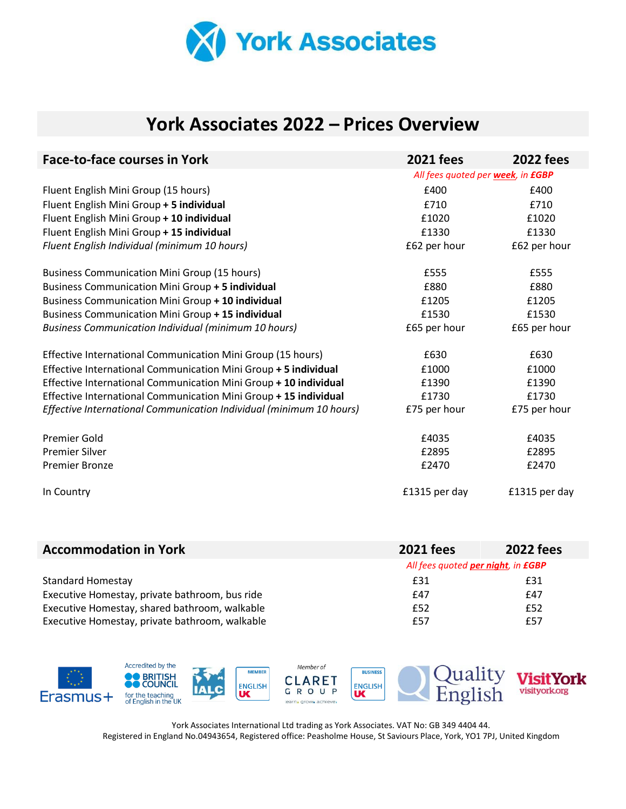

## **York Associates 2022 – Prices Overview**

| <b>Face-to-face courses in York</b>                                 | <b>2021 fees</b>                  | <b>2022 fees</b> |
|---------------------------------------------------------------------|-----------------------------------|------------------|
|                                                                     | All fees quoted per week, in £GBP |                  |
| Fluent English Mini Group (15 hours)                                | £400                              | £400             |
| Fluent English Mini Group + 5 individual                            | £710                              | £710             |
| Fluent English Mini Group + 10 individual                           | £1020                             | £1020            |
| Fluent English Mini Group + 15 individual                           | £1330                             | £1330            |
| Fluent English Individual (minimum 10 hours)                        | £62 per hour                      | £62 per hour     |
| <b>Business Communication Mini Group (15 hours)</b>                 | £555                              | £555             |
| Business Communication Mini Group + 5 individual                    | £880                              | £880             |
| Business Communication Mini Group + 10 individual                   | £1205                             | £1205            |
| Business Communication Mini Group + 15 individual                   | £1530                             | £1530            |
| <b>Business Communication Individual (minimum 10 hours)</b>         | £65 per hour                      | £65 per hour     |
| Effective International Communication Mini Group (15 hours)         | £630                              | £630             |
| Effective International Communication Mini Group + 5 individual     | £1000                             | £1000            |
| Effective International Communication Mini Group + 10 individual    | £1390                             | £1390            |
| Effective International Communication Mini Group + 15 individual    | £1730                             | £1730            |
| Effective International Communication Individual (minimum 10 hours) | £75 per hour                      | £75 per hour     |
| Premier Gold                                                        | £4035                             | £4035            |
| <b>Premier Silver</b>                                               | £2895                             | £2895            |
| <b>Premier Bronze</b>                                               | £2470                             | £2470            |
| In Country                                                          | £1315 per day                     | £1315 per day    |

| <b>Accommodation in York</b>                   | <b>2021 fees</b> | <b>2022 fees</b>                   |  |
|------------------------------------------------|------------------|------------------------------------|--|
|                                                |                  | All fees quoted per night, in EGBP |  |
| <b>Standard Homestay</b>                       | £31              | £31                                |  |
| Executive Homestay, private bathroom, bus ride | f47              | £47                                |  |
| Executive Homestay, shared bathroom, walkable  | £52              | £52                                |  |
| Executive Homestay, private bathroom, walkable | £57              | £57                                |  |



York Associates International Ltd trading as York Associates. VAT No: GB 349 4404 44. Registered in England No.04943654, Registered office: Peasholme House, St Saviours Place, York, YO1 7PJ, United Kingdom